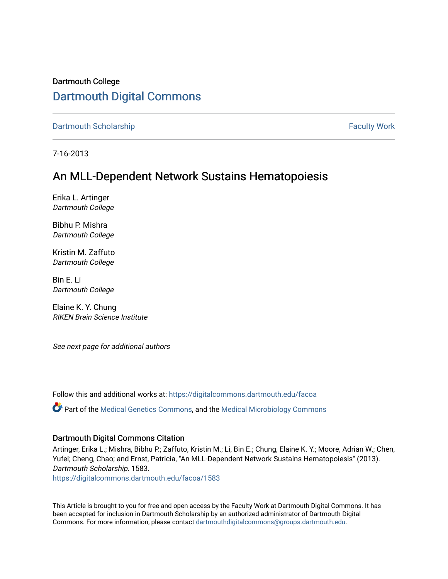# Dartmouth College [Dartmouth Digital Commons](https://digitalcommons.dartmouth.edu/)

[Dartmouth Scholarship](https://digitalcommons.dartmouth.edu/facoa) Faculty Work

7-16-2013

# An MLL-Dependent Network Sustains Hematopoiesis

Erika L. Artinger Dartmouth College

Bibhu P. Mishra Dartmouth College

Kristin M. Zaffuto Dartmouth College

Bin E. Li Dartmouth College

Elaine K. Y. Chung RIKEN Brain Science Institute

See next page for additional authors

Follow this and additional works at: [https://digitalcommons.dartmouth.edu/facoa](https://digitalcommons.dartmouth.edu/facoa?utm_source=digitalcommons.dartmouth.edu%2Ffacoa%2F1583&utm_medium=PDF&utm_campaign=PDFCoverPages)

Part of the [Medical Genetics Commons,](http://network.bepress.com/hgg/discipline/670?utm_source=digitalcommons.dartmouth.edu%2Ffacoa%2F1583&utm_medium=PDF&utm_campaign=PDFCoverPages) and the [Medical Microbiology Commons](http://network.bepress.com/hgg/discipline/672?utm_source=digitalcommons.dartmouth.edu%2Ffacoa%2F1583&utm_medium=PDF&utm_campaign=PDFCoverPages)

### Dartmouth Digital Commons Citation

Artinger, Erika L.; Mishra, Bibhu P.; Zaffuto, Kristin M.; Li, Bin E.; Chung, Elaine K. Y.; Moore, Adrian W.; Chen, Yufei; Cheng, Chao; and Ernst, Patricia, "An MLL-Dependent Network Sustains Hematopoiesis" (2013). Dartmouth Scholarship. 1583.

[https://digitalcommons.dartmouth.edu/facoa/1583](https://digitalcommons.dartmouth.edu/facoa/1583?utm_source=digitalcommons.dartmouth.edu%2Ffacoa%2F1583&utm_medium=PDF&utm_campaign=PDFCoverPages) 

This Article is brought to you for free and open access by the Faculty Work at Dartmouth Digital Commons. It has been accepted for inclusion in Dartmouth Scholarship by an authorized administrator of Dartmouth Digital Commons. For more information, please contact [dartmouthdigitalcommons@groups.dartmouth.edu](mailto:dartmouthdigitalcommons@groups.dartmouth.edu).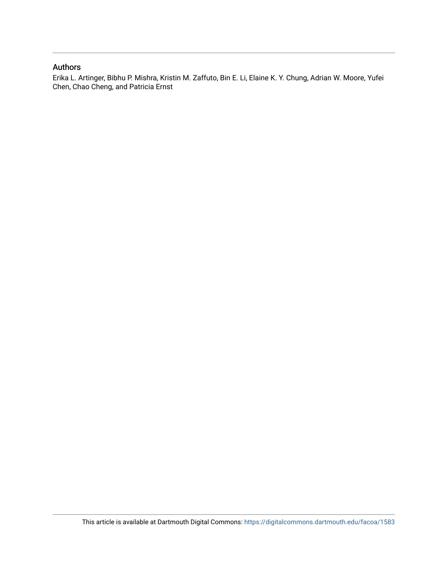## Authors

Erika L. Artinger, Bibhu P. Mishra, Kristin M. Zaffuto, Bin E. Li, Elaine K. Y. Chung, Adrian W. Moore, Yufei Chen, Chao Cheng, and Patricia Ernst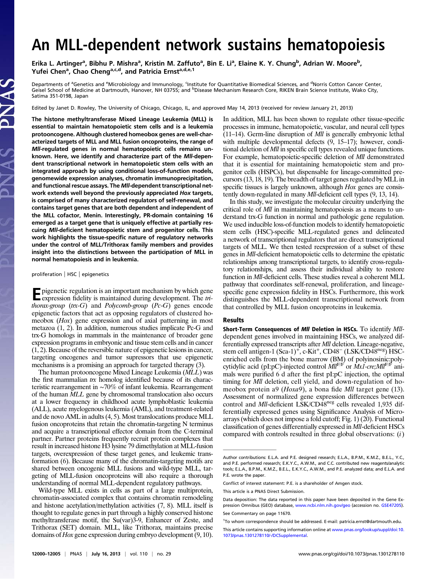# An MLL-dependent network sustains hematopoiesis

Erika L. Artinger<sup>a</sup>, Bibhu P. Mishra<sup>a</sup>, Kristin M. Zaffuto<sup>a</sup>, Bin E. Li<sup>a</sup>, Elaine K. Y. Chung<sup>b</sup>, Adrian W. Moore<sup>b</sup>, Yufei Chen<sup>a</sup>, Chao Cheng<sup>a,c,d</sup>, and Patricia Ernst<sup>a,d,e,1</sup>

Departments of <sup>a</sup>Genetics and <sup>e</sup>Microbiology and Immunology, <sup>c</sup>Institute for Quantitative Biomedical Sciences, and <sup>d</sup>Norris Cotton Cancer Center, Geisel School of Medicine at Dartmouth, Hanover, NH 03755; and <sup>b</sup>Disease Mechanism Research Core, RIKEN Brain Science Institute, Wako City, Satima 351-0198, Japan

Edited by Janet D. Rowley, The University of Chicago, Chicago, IL, and approved May 14, 2013 (received for review January 21, 2013)

The histone methyltransferase Mixed Lineage Leukemia (MLL) is essential to maintain hematopoietic stem cells and is a leukemia protooncogene. Although clustered homeobox genes are well-characterized targets of MLL and MLL fusion oncoproteins, the range of Mll-regulated genes in normal hematopoietic cells remains unknown. Here, we identify and characterize part of the Mll-dependent transcriptional network in hematopoietic stem cells with an integrated approach by using conditional loss-of-function models, genomewide expression analyses, chromatin immunoprecipitation, and functional rescue assays. The MII-dependent transcriptional network extends well beyond the previously appreciated Hox targets, is comprised of many characterized regulators of self-renewal, and contains target genes that are both dependent and independent of the MLL cofactor, Menin. Interestingly, PR-domain containing 16 emerged as a target gene that is uniquely effective at partially rescuing Mll-deficient hematopoietic stem and progenitor cells. This work highlights the tissue-specific nature of regulatory networks under the control of MLL/Trithorax family members and provides insight into the distinctions between the participation of MLL in normal hematopoiesis and in leukemia.

#### proliferation | HSC | epigenetics

**Expirentic regulation is an important mechanism by which gene**<br>expression fidality is registed. expression fidelity is maintained during development. The tri*thorax-group* ( $tx-G$ ) and *Polycomb-group* ( $Pc-G$ ) genes encode epigenetic factors that act as opposing regulators of clustered homeobox (Hox) gene expression and of axial patterning in most metazoa (1, 2). In addition, numerous studies implicate Pc-G and trx-G homologs in mammals in the maintenance of broader gene expression programs in embryonic and tissue stem cells and in cancer (1, 2). Because of the reversible nature of epigenetic lesions in cancer, targeting oncogenes and tumor supressors that use epigenetic mechanisms is a promising an approach for targeted therapy (3).

The human protooncogene Mixed Lineage Leukemia (MLL) was the first mammalian trx homolog identified because of its characteristic rearrangement in ∼70% of infant leukemia. Rearrangement of the human MLL gene by chromosomal translocation also occurs at a lower frequency in childhood acute lymphoblastic leukemia (ALL), acute myelogenous leukemia (AML), and treatment-related and de novo AML in adults (4, 5). Most translocations produce MLL fusion oncoproteins that retain the chromatin-targeting N terminus and acquire a transcriptional effector domain from the C-terminal partner. Partner proteins frequently recruit protein complexes that result in increased histone H3 lysine 79 dimethylation at MLL-fusion targets, overexpression of these target genes, and leukemic transformation (6). Because many of the chromatin-targeting motifs are shared between oncogenic MLL fusions and wild-type MLL, targeting of MLL-fusion oncoproteins will also require a thorough understanding of normal MLL-dependent regulatory pathways.

Wild-type MLL exists in cells as part of a large multiprotein, chromatin-associated complex that contains chromatin remodeling and histone acetylation/methylation activities (7, 8). MLL itself is thought to regulate genes in part through a highly conserved histone methyltransferase motif, the Su(var)3-9, Enhancer of Zeste, and Trithorax (SET) domain. MLL, like Trithorax, maintains precise domains of Hox gene expression during embryo development (9, 10).

In addition, MLL has been shown to regulate other tissue-specific processes in immune, hematopoietic, vascular, and neural cell types (11–14). Germ-line disruption of Mll is generally embryonic lethal with multiple developmental defects (9, 15–17); however, conditional deletion of Mll in specific cell types revealed unique functions. For example, hematopoietic-specific deletion of Mll demonstrated that it is essential for maintaining hematopoietic stem and progenitor cells (HSPCs), but dispensable for lineage-committed precursors (13, 18, 19). The breadth of target genes regulated by MLL in specific tissues is largely unknown, although Hox genes are consistently down-regulated in many Mll-deficient cell types (9, 13, 14).

In this study, we investigate the molecular circuitry underlying the critical role of Mll in maintaining hematopoiesis as a means to understand trx-G function in normal and pathologic gene regulation. We used inducible loss-of-function models to identify hematopoietic stem cells (HSC)-specific MLL-regulated genes and delineated a network of transcriptional regulators that are direct transcriptional targets of MLL. We then tested reexpression of a subset of these genes in Mll-deficient hematopoietic cells to determine the epistatic relationships among transcriptional targets, to identify cross-regulatory relationships, and assess their individual ability to restore function in Mll-deficient cells. These studies reveal a coherent MLL pathway that coordinates self-renewal, proliferation, and lineagespecific gene expression fidelity in HSCs. Furthermore, this work distinguishes the MLL-dependent transcriptional network from that controlled by MLL fusion oncoproteins in leukemia.

### Results

Short-Term Consequences of MII Deletion in HSCs. To identify Mlldependent genes involved in maintaining HSCs, we analyzed differentially expressed transcripts after Mll deletion. Lineage-negative, stem cell antigen-1 (Sca-1)<sup>+</sup>, c-Kit<sup>+</sup>, CD48<sup>−</sup> (LSK/CD48<sup>neg</sup>) HSCenriched cells from the bone marrow (BM) of polyinosinic:poly-cytidylic acid (pI:pC)-injected control *Mll*<sup>F/F</sup> or *Mx1-cre;Mll*<sup>F/F</sup> animals were purified 6 d after the first pI:pC injection, the optimal timing for Mll deletion, cell yield, and down-regulation of homeobox protein a9 (Hoxa9), a bona fide Mll target gene (13). Assessment of normalized gene expression differences between control and Mll-deficient LSK/CD48<sup>neg</sup> cells revealed 1,935 differentially expressed genes using Significance Analysis of Microarrays (which does not impose a fold cutoff; Fig. 1) (20). Functional classification of genes differentially expressed in Mll-deficient HSCs compared with controls resulted in three global observations: (i)

This article is a PNAS Direct Submission.

Author contributions: E.L.A. and P.E. designed research; E.L.A., B.P.M., K.M.Z., B.E.L., Y.C., and P.E. performed research; E.K.Y.C., A.W.M., and C.C. contributed new reagents/analytic tools; E.L.A., B.P.M., K.M.Z., B.E.L., E.K.Y.C., A.W.M., and P.E. analyzed data; and E.L.A. and P.E. wrote the paper.

Conflict of interest statement: P.E. is a shareholder of Amgen stock.

Data deposition: The data reported in this paper have been deposited in the Gene Expression Omnibus (GEO) database, [www.ncbi.nlm.nih.gov/geo](http://www.ncbi.nlm.nih.gov/geo) (accession no. [GSE47205](http://www.ncbi.nlm.nih.gov/geo/query/acc.cgi?acc=GSE47205)).

See Commentary on page 11670.

<sup>&</sup>lt;sup>1</sup>To whom correspondence should be addressed. E-mail: [patricia.ernst@dartmouth.edu](mailto:patricia.ernst@dartmouth.edu).

This article contains supporting information online at [www.pnas.org/lookup/suppl/doi:10.](http://www.pnas.org/lookup/suppl/doi:10.1073/pnas.1301278110/-/DCSupplemental) [1073/pnas.1301278110/-/DCSupplemental.](http://www.pnas.org/lookup/suppl/doi:10.1073/pnas.1301278110/-/DCSupplemental)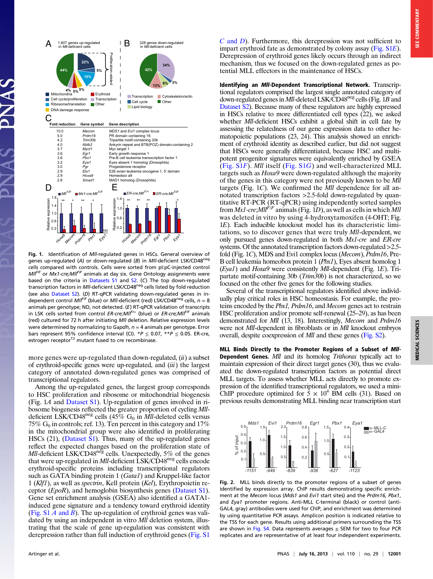

Fig. 1. Identification of MII-regulated genes in HSCs. General overview of genes up-regulated (A) or down-regulated (B) in Mll-deficient LSK/CD48<sup>neg</sup> cells compared with controls. Cells were sorted from pI:pC-injected control  $MII^{F/F}$  or  $Mx1$ -cre;  $MII^{F/F}$  animals at day six. Gene Ontology assignments were based on the criteria in [Datasets S1](http://www.pnas.org/lookup/suppl/doi:10.1073/pnas.1301278110/-/DCSupplemental/sd01.xlsx) and [S2.](http://www.pnas.org/lookup/suppl/doi:10.1073/pnas.1301278110/-/DCSupplemental/sd02.xlsx) (C) The top down-regulated transcription factors in MII-deficient LSK/CD48<sup>neg</sup> cells listed by fold reduction (see also [Dataset S2\)](http://www.pnas.org/lookup/suppl/doi:10.1073/pnas.1301278110/-/DCSupplemental/sd02.xlsx). (D) RT-qPCR validating down-regulated genes in independent control MII<sup>FIF</sup> (blue) or MII-deficient (red) LSK/CD48<sup>neg</sup> cells,  $n = 8$ animals per genotype; ND, not detected. (E) RT-qPCR validation of transcripts in LSK cells sorted from control  $ER\text{-}crejMl^{F/+}$  (blue) or  $ER\text{-}crejMl^{F/F}$  animals (red) cultured for 72 h after initiating Mll deletion. Relative expression levels were determined by normalizing to Gapdh,  $n = 4$  animals per genotype. Error bars represent 95% confidence interval (CI). \* $P \le 0.07$ , \*\* $P \le 0.05$ . ER-cre, estrogen receptor<sup>T2</sup> mutant fused to cre recombinase.

more genes were up-regulated than down-regulated,  $(ii)$  a subset of erythroid-specific genes were up-regulated, and  $(iii)$  the largest category of annotated down-regulated genes was comprised of transcriptional regulators.

Among the up-regulated genes, the largest group corresponds to HSC proliferation and ribosome or mitochondrial biogenesis (Fig. 1A and [Dataset S1\)](http://www.pnas.org/lookup/suppl/doi:10.1073/pnas.1301278110/-/DCSupplemental/sd01.xlsx). Up-regulation of genes involved in ribosome biogenesis reflected the greater proportion of cycling Mlldeficient LSK/CD48<sup>neg</sup> cells (45% G<sub>0</sub> in *Mll*-deleted cells versus 75%  $G_0$  in controls; ref. 13). Ten percent in this category and 17% in the mitochondrial group were also identified in proliferating HSCs (21), [\(Dataset S1\)](http://www.pnas.org/lookup/suppl/doi:10.1073/pnas.1301278110/-/DCSupplemental/sd01.xlsx). Thus, many of the up-regulated genes reflect the expected changes based on the proliferation state of  $Mll$ -deficient LSK/CD48<sup>neg</sup> cells. Unexpectedly, 5% of the genes that were up-regulated in *Mll*-deficient LSK/CD48<sup>neg</sup> cells encode erythroid-specific proteins including transcriptional regulators such as GATA binding protein 1 (*Gata1*) and Kruppel-like factor 1 (Klf1), as well as spectrin, Kell protein (Kel), Erythropoietin receptor (EpoR), and hemoglobin biosynthesis genes ([Dataset S1\)](http://www.pnas.org/lookup/suppl/doi:10.1073/pnas.1301278110/-/DCSupplemental/sd01.xlsx). Gene set enrichment analysis (GSEA) also identified a GATA1 induced gene signature and a tendency toward erythroid identity (Fig.  $S1A$  and B). The up-regulation of erythroid genes was validated by using an independent in vitro *Mll* deletion system, illustrating that the scale of gene up-regulation was consistent with derepression rather than full induction of erythroid genes ([Fig. S1](http://www.pnas.org/lookup/suppl/doi:10.1073/pnas.1301278110/-/DCSupplemental/pnas.201301278SI.pdf?targetid=nameddest=SF1)

 $C$  [and](http://www.pnas.org/lookup/suppl/doi:10.1073/pnas.1301278110/-/DCSupplemental/pnas.201301278SI.pdf?targetid=nameddest=SF1)  $D$ ). Furthermore, this derepression was not sufficient to impart erythroid fate as demonstrated by colony assay ([Fig. S1](http://www.pnas.org/lookup/suppl/doi:10.1073/pnas.1301278110/-/DCSupplemental/pnas.201301278SI.pdf?targetid=nameddest=SF1)E). Derepression of erythroid genes likely occurs through an indirect mechanism, thus we focused on the down-regulated genes as potential MLL effectors in the maintenance of HSCs.

Identifying an MII-Dependent Transcriptional Network. Transcriptional regulators comprised the largest single annotated category of down-regulated genes in *Mll*-deleted LSK/CD48<sup>neg</sup> cells (Fig. 1B and [Dataset S2](http://www.pnas.org/lookup/suppl/doi:10.1073/pnas.1301278110/-/DCSupplemental/sd02.xlsx)). Because many of these regulators are highly expressed in HSCs relative to more differentiated cell types (22), we asked whether *Mll*-deficient HSCs exhibit a global shift in cell fate by assessing the relatedness of our gene expression data to other hematopoietic populations (23, 24). This analysis showed an enrichment of erythroid identity as described earlier, but did not suggest that HSCs were generally differentiated, because HSC and multipotent progenitor signatures were equivalently enriched by GSEA ([Fig. S1](http://www.pnas.org/lookup/suppl/doi:10.1073/pnas.1301278110/-/DCSupplemental/pnas.201301278SI.pdf?targetid=nameddest=SF1)F). Mll itself ([Fig. S1](http://www.pnas.org/lookup/suppl/doi:10.1073/pnas.1301278110/-/DCSupplemental/pnas.201301278SI.pdf?targetid=nameddest=SF1)G) and well-characterized MLL targets such as Hoxa9 were down-regulated although the majority of the genes in this category were not previously known to be Mll targets (Fig.  $1C$ ). We confirmed the *Mll* dependence for all annotated transcription factors >2.5-fold down-regulated by quantitative RT-PCR (RT-qPCR) using independently sorted samples from  $Mx1-cre$ ;  $Mll<sup>F/F</sup>$  animals (Fig. 1D), as well as cells in which Mll was deleted in vitro by using 4-hydroxytamoxifen (4-OHT; Fig. 1E). Each inducible knockout model has its characteristic limitations, so to discover genes that were truly Mll-dependent, we only pursued genes down-regulated in both Mx1-cre and ER-cre systems. Of the annotated transcription factors down-regulated > 2.5fold (Fig. 1C), MDS and Evi1 complex locus (Mecom), Prdm16, Pre-B cell leukemia homeobox protein 1 (Pbx1), Eyes absent homolog 1  $(Eya1)$  and Hoxa9 were consistently Mll-dependent (Fig. 1E). Tripartate motif-containing 30b (Trim30b) is not characterized, so we focused on the other five genes for the following studies.

Several of the transcriptional regulators identified above individually play critical roles in HSC homeostasis. For example, the proteins encoded by the Pbx1, Prdm16, and Mecom genes act to restrain HSC proliferation and/or promote self-renewal (25–29), as has been demonstrated for *Mll* (13, 18). Interestingly, *Mecom* and *Prdm16* were not *Mll*-dependent in fibroblasts or in *Mll* knockout embryos overall, despite coexpression of Mll and these genes [\(Fig. S2](http://www.pnas.org/lookup/suppl/doi:10.1073/pnas.1301278110/-/DCSupplemental/pnas.201301278SI.pdf?targetid=nameddest=SF2)).

MLL Binds Directly to the Promoter Regions of a Subset of Mll-Dependent Genes. Mll and its homolog Trithorax typically act to maintain expression of their direct target genes (30), thus we evaluated the down-regulated transcription factors as potential direct MLL targets. To assess whether MLL acts directly to promote expression of the identified transcriptional regulators, we used a mini-ChIP procedure optimized for  $\bar{5} \times 10^4$  BM cells (31). Based on previous results demonstrating MLL binding near transcription start



Fig. 2. MLL binds directly to the promoter regions of a subset of genes identified by expression array. ChIP results demonstrating specific enrichment at the Mecom locus (Mds1 and Evi1 start sites) and the Prdm16, Pbx1, and Eya1 promoter regions. Anti-MLL C-terminal (black) or control (anti-GAL4, gray) antibodies were used for ChIP, and enrichment was determined by using quantitative PCR assays. Amplicon position is indicated relative to the TSS for each gene. Results using additional primers surrounding the TSS are shown in [Fig. S4](http://www.pnas.org/lookup/suppl/doi:10.1073/pnas.1301278110/-/DCSupplemental/pnas.201301278SI.pdf?targetid=nameddest=SF4). Data represents averages  $\pm$  SEM for two to four PCR replicates and are representative of at least four independent experiments.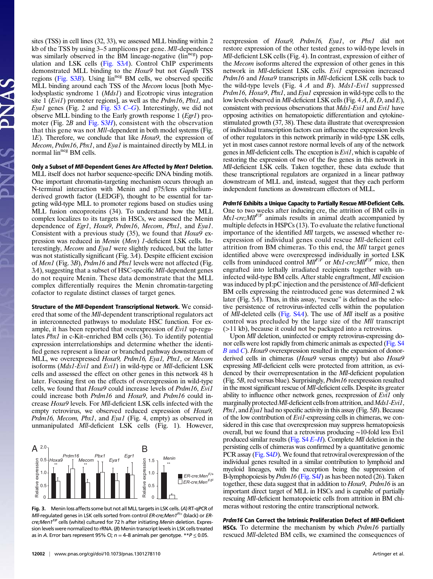sites (TSS) in cell lines (32, 33), we assessed MLL binding within 2 kb of the TSS by using 3–5 amplicons per gene. Mll-dependence was similarly observed in the BM lineage-negative (lin<sup>neg</sup>) population and LSK cells [\(Fig. S3](http://www.pnas.org/lookup/suppl/doi:10.1073/pnas.1301278110/-/DCSupplemental/pnas.201301278SI.pdf?targetid=nameddest=SF3)A). Control ChIP experiments demonstrated MLL binding to the Hoxa9 but not Gapdh TSS regions (Fig.  $S3B$ ). Using  $\lim^{neg}$  BM cells, we observed specific MLL binding around each TSS of the Mecom locus [both Myelodysplastic syndrome 1 (*Mds1*) and Ecotropic virus integration site  $1 (Evil)$  promoter regions], as well as the *Prdm16*, *Pbx1*, and Eya1 genes (Fig. 2 and [Fig. S3](http://www.pnas.org/lookup/suppl/doi:10.1073/pnas.1301278110/-/DCSupplemental/pnas.201301278SI.pdf?targetid=nameddest=SF3)  $C-G$  $C-G$ ). Interestingly, we did not observe MLL binding to the Early growth response 1 (Egr1) promoter (Fig.  $2B$  and [Fig. S3](http://www.pnas.org/lookup/suppl/doi:10.1073/pnas.1301278110/-/DCSupplemental/pnas.201301278SI.pdf?targetid=nameddest=SF3)H), consistent with the observation that this gene was not Mll-dependent in both model systems (Fig. 1E). Therefore, we conclude that like Hoxa9, the expression of Mecom, Prdm16, Pbx1, and Eya1 is maintained directly by MLL in normal lin<sup>neg</sup> BM cells.

Only a Subset of Mll-Dependent Genes Are Affected by Men1 Deletion. MLL itself does not harbor sequence-specific DNA binding motifs. One important chromatin-targeting mechanism occurs through an N-terminal interaction with Menin and p75/lens epitheliumderived growth factor (LEDGF), thought to be essential for targeting wild-type MLL to promoter regions based on studies using MLL fusion oncoproteins (34). To understand how the MLL complex localizes to its targets in HSCs, we assessed the Menin dependence of Egrl, Hoxa9, Prdm16, Mecom, Pbx1, and Eya1. Consistent with a previous study (35), we found that *Hoxa9* expression was reduced in Menin (Men) 1-deficient LSK cells. Interestingly, Mecom and Eya1 were slightly reduced, but the latter was not statistically significant (Fig. 3A). Despite efficient excision of Men1 (Fig. 3B), Prdm16 and Pbx1 levels were not affected (Fig. 3A), suggesting that a subset of HSC-specific Mll-dependent genes do not require Menin. These data demonstrate that the MLL complex differentially requires the Menin chromatin-targeting cofactor to regulate distinct classes of target genes.

Structure of the MII-Dependent Transcriptional Network. We considered that some of the Mll-dependent transcriptional regulators act in interconnected pathways to modulate HSC function. For example, it has been reported that overexpression of Evil up-regulates Pbx1 in c-Kit–enriched BM cells (36). To identify potential expression interrelationships and determine whether the identified genes represent a linear or branched pathway downstream of MLL, we overexpressed Hoxa9, Prdm16, Eya1, Pbx1, or Mecom isoforms (Mds1-Evi1 and Evi1) in wild-type or Mll-deficient LSK cells and assessed the effect on other genes in this network 48 h later. Focusing first on the effects of overexpression in wild-type cells, we found that Hoxa9 could increase levels of Prdm16, Evi1 could increase both Prdm16 and Hoxa9, and Prdm16 could increase Hoxa9 levels. For Mll-deficient LSK cells infected with the empty retrovirus, we observed reduced expression of Hoxa9, Prdm16, Mecom, Pbx1, and Eya1 (Fig. 4, empty) as observed in unmanipulated Mll-deficient LSK cells (Fig. 1). However,



Fig. 3. Menin loss affects some but not all MLL targets in LSK cells. (A) RT-qPCR of Mll-regulated genes in LSK cells sorted from control ER-cre; Men1 $^{F/+}$  (black) or ERcre;Men1<sup>F/F</sup> cells (white) cultured for 72 h after initiating Menin deletion. Expression levels were normalized to rRNA. (B) Menin transcript levels in LSK cells treated as in A. Error bars represent 95% CI;  $n = 4-8$  animals per genotype. \*\* $P \le 0.05$ .

reexpression of Hoxa9, Prdm16, Eya1, or Pbx1 did not restore expression of the other tested genes to wild-type levels in Mll-deficient LSK cells (Fig. 4). In contrast, expression of either of the Mecom isoforms altered the expression of other genes in this network in Mll-deficient LSK cells. Evi1 expression increased Prdm16 and Hoxa9 transcripts in Mll-deficient LSK cells back to the wild-type levels (Fig. 4 A and B). Mds1-Evi1 suppressed Prdm16, Hoxa9, Pbx1, and Eya1 expression in wild-type cells to the low levels observed in Mll-deficient LSK cells (Fig. 4 A, B, D, and E), consistent with previous observations that Mds1-Evi1 and Evi1 have opposing activities on hematopoietic differentiation and cytokinestimulated growth (37, 38). These data illustrate that overexpression of individual transcription factors can influence the expression levels of other regulators in this network primarily in wild-type LSK cells, yet in most cases cannot restore normal levels of any of the network genes in Mll-deficient cells. The exception is Evi1, which is capable of restoring the expression of two of the five genes in this network in Mll-deficient LSK cells. Taken together, these data exclude that these transcriptional regulators are organized in a linear pathway downstream of MLL and, instead, suggest that they each perform independent functions as downstream effectors of MLL.

Prdm16 Exhibits a Unique Capacity to Partially Rescue Mll-Deficient Cells. One to two weeks after inducing cre, the attrition of BM cells in  $Mx1-cre; Mll<sup>F/F</sup>$  animals results in animal death accompanied by multiple defects in HSPCs (13). To evaluate the relative functional importance of the identified Mll targets, we assessed whether reexpression of individual genes could rescue Mll-deficient cell attrition from BM chimeras. To this end, the Mll target genes identified above were overexpressed individually in sorted LSK cells from uninduced control  $Ml^{F/F}$  or  $Mx1-cre; Mll^{F/F}$  mice, then engrafted into lethally irradiated recipients together with uninfected wild-type BM cells. After stable engraftment, Mll excision was induced by pI:pC injection and the persistence of *Mll*-deficient BM cells expressing the reintroduced gene was determined 2 wk later (Fig. 5A). Thus, in this assay, "rescue" is defined as the selective persistence of retrovirus-infected cells within the population of Mll-deleted cells [\(Fig. S4](http://www.pnas.org/lookup/suppl/doi:10.1073/pnas.1301278110/-/DCSupplemental/pnas.201301278SI.pdf?targetid=nameddest=SF4)A). The use of Mll itself as a positive control was precluded by the large size of the Mll transcript (>11 kb), because it could not be packaged into a retrovirus.

Upon Mll deletion, uninfected or empty retrovirus-expressing donor cells were lost rapidly from chimeric animals as expected [\(Fig. S4](http://www.pnas.org/lookup/suppl/doi:10.1073/pnas.1301278110/-/DCSupplemental/pnas.201301278SI.pdf?targetid=nameddest=SF4) B [and](http://www.pnas.org/lookup/suppl/doi:10.1073/pnas.1301278110/-/DCSupplemental/pnas.201301278SI.pdf?targetid=nameddest=SF4) C). Hoxa9 overexpression resulted in the expansion of donorderived cells in chimeras (Hoxa9 versus empty) but also Hoxa9 expressing Mll-deficient cells were protected from attrition, as evidenced by their overrepresentation in the Mll-deficient population (Fig. 5B, red versus blue). Surprisingly, Prdm16 reexpression resulted in the most significant rescue of Mll-deficient cells. Despite its greater ability to influence other network genes, reexpression of Evi1 only marginally protected *Mll*-deficient cells from attrition, and *Mds1-Evi1*, Pbx1, and Eya1 had no specific activity in this assay (Fig. 5B). Because of the low contribution of Evi1-expressing cells in chimeras, we considered in this case that overexpression may suppress hematopoiesis overall, but we found that a retrovirus producing ∼10-fold less Evi1 produced similar results (Fig.  $S4E-H$  $S4E-H$ ). Complete *Mll* deletion in the persisting cells of chimeras was confirmed by a quantitative genomic PCR assay [\(Fig. S4](http://www.pnas.org/lookup/suppl/doi:10.1073/pnas.1301278110/-/DCSupplemental/pnas.201301278SI.pdf?targetid=nameddest=SF4)D). We found that retroviral overexpression of the individual genes resulted in a similar contribution to lymphoid and myeloid lineages, with the exception being the suppression of B-lymphopoiesis by *Prdm16* [\(Fig. S4](http://www.pnas.org/lookup/suppl/doi:10.1073/pnas.1301278110/-/DCSupplemental/pnas.201301278SI.pdf?targetid=nameddest=SF4)*I*) as has been noted (26). Taken together, these data suggest that in addition to Hoxa9, Prdm16 is an important direct target of MLL in HSCs and is capable of partially rescuing Mll-deficient hematopoietic cells from attrition in BM chimeras without restoring the entire transcriptional network.

Prdm16 Can Correct the Intrinsic Proliferation Defect of Mll-Deficient HSCs. To determine the mechanism by which Prdm16 partially rescued Mll-deleted BM cells, we examined the consequences of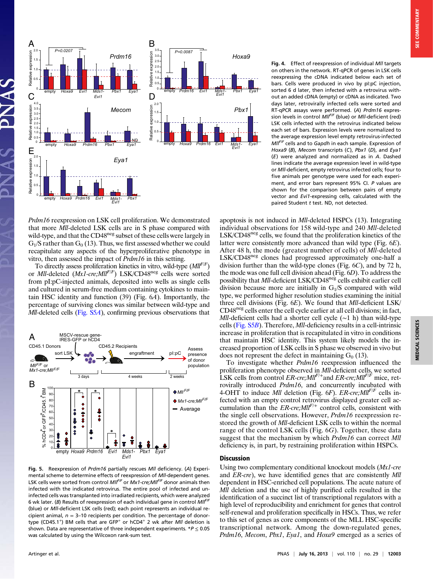

Prdm16 reexpression on LSK cell proliferation. We demonstrated that more Mll-deleted LSK cells are in S phase compared with wild-type, and that the CD48<sup>neg</sup> subset of these cells were largely in  $G_1/S$  rather than  $G_0$  (13). Thus, we first assessed whether we could recapitulate any aspects of the hyperproliferative phenotype in vitro, then assessed the impact of Prdm16 in this setting.

To directly assess proliferation kinetics in vitro, wild-type  $(Mll<sup>F/F</sup>)$ or *Mll*-deleted  $(Mx1-cre; Ml<sup>F/F</sup>)$  LSK/CD48<sup>neg</sup> cells were sorted from pI:pC-injected animals, deposited into wells as single cells and cultured in serum-free medium containing cytokines to maintain HSC identity and function (39) (Fig. 6A). Importantly, the percentage of surviving clones was similar between wild-type and Mll-deleted cells ([Fig. S5](http://www.pnas.org/lookup/suppl/doi:10.1073/pnas.1301278110/-/DCSupplemental/pnas.201301278SI.pdf?targetid=nameddest=SF5)A), confirming previous observations that



Fig. 5. Reexpression of Prdm16 partially rescues Mll deficiency. (A) Experimental scheme to determine effects of reexpression of Mll-dependent genes. LSK cells were sorted from control  $M l^{\textit{F/F}}$  or  $M x1$ -cre; $M l^{\textit{F/F}}$  donor animals then infected with the indicated retrovirus. The entire pool of infected and uninfected cells was transplanted into irradiated recipients, which were analyzed 6 wk later. (B) Results of reexpression of each individual gene in control  $M/I<sup>F/F</sup>$ (blue) or Mll-deficient LSK cells (red); each point represents an individual recipient animal,  $n = 3-10$  recipients per condition. The percentage of donortype (CD45.1<sup>+</sup>) BM cells that are GFP<sup>+</sup> or hCD4<sup>+</sup> 2 wk after *Mll* deletion is shown. Data are representative of three independent experiments. \* $P \le 0.05$ was calculated by using the Wilcoxon rank-sum test.

Fig. 4. Effect of reexpression of individual Mll targets on others in the network. RT-qPCR of genes in LSK cells reexpressing the cDNA indicated below each set of bars. Cells were produced in vivo by pI:pC injection, sorted 6 d later, then infected with a retrovirus without an added cDNA (empty) or cDNA as indicated. Two days later, retrovirally infected cells were sorted and RT-qPCR assays were performed. (A) Prdm16 expression levels in control MIIFIF (blue) or MII-deficient (red) LSK cells infected with the retrovirus indicated below each set of bars. Expression levels were normalized to the average expression level empty retrovirus-infected MIIFIF cells and to Gapdh in each sample. Expression of Hoxa9 (B), Mecom transcripts (C), Pbx1 (D), and Eya1 (E) were analyzed and normalized as in A. Dashed lines indicate the average expression level in wild-type or Mll-deficient, empty retrovirus infected cells; four to five animals per genotype were used for each experiment, and error bars represent 95% CI. P values are shown for the comparison between pairs of empty vector and Evi1-expressing cells, calculated with the paired Student  $t$  test. ND, not detected.

apoptosis is not induced in Mll-deleted HSPCs (13). Integrating individual observations for 158 wild-type and 240 Mll-deleted LSK/CD48<sup>neg</sup> cells, we found that the proliferation kinetics of the latter were consistently more advanced than wild type (Fig. 6E). After 48 h, the mode (greatest number of cells) of Mll-deleted LSK/CD48neg clones had progressed approximately one-half a division further than the wild-type clones (Fig. 6C), and by 72 h, the mode was one full cell division ahead (Fig. 6D). To address the possibility that Mll-deficient LSK/CD48<sup>neg</sup> cells exhibit earlier cell division because more are initially in  $G<sub>1</sub>/S$  compared with wild type, we performed higher resolution studies examining the initial three cell divisions (Fig. 6E). We found that Mll-deficient LSK/ CD48neg cells enter the cell cycle earlier at all cell divisions; in fact, Mll-deficient cells had a shorter cell cycle ( $\sim$ 1 h) than wild-type cells ([Fig. S5](http://www.pnas.org/lookup/suppl/doi:10.1073/pnas.1301278110/-/DCSupplemental/pnas.201301278SI.pdf?targetid=nameddest=SF5)B). Therefore, Mll-deficiency results in a cell-intrinsic increase in proliferation that is recapitulated in vitro in conditions that maintain HSC identity. This system likely models the increased proportion of LSK cells in S phase we observed in vivo but does not represent the defect in maintaining  $G_0$  (13).

To investigate whether *Prdm16* reexpression influenced the proliferation phenotype observed in Mll-deficient cells, we sorted LSK cells from control  $ER\text{-}cre; \textit{Mll}^{F/\pm}$  and  $ER\text{-}cre; \textit{Mll}^{F/F}$  mice, retrovirally introduced Prdm16, and concurrently incubated with 4-OHT to induce *Mll* deletion (Fig. 6F).  $ER\text{-}cre; \textit{Mll}^{F/F}$  cells infected with an empty control retrovirus displayed greater cell accumulation than the  $ER\text{-}cre; Mll<sup>F/+</sup>$  control cells, consistent with the single cell observations. However, Prdm16 reexpression restored the growth of Mll-deficient LSK cells to within the normal range of the control LSK cells (Fig. 6G). Together, these data suggest that the mechanism by which Prdm16 can correct Mll deficiency is, in part, by restraining proliferation within HSPCs.

### Discussion

Using two complementary conditional knockout models (Mx1-cre and ER-cre), we have identified genes that are consistently Mll dependent in HSC-enriched cell populations. The acute nature of Mll deletion and the use of highly purified cells resulted in the identification of a succinct list of transcriptional regulators with a high level of reproducibility and enrichment for genes that control self-renewal and proliferation specifically in HSCs. Thus, we refer to this set of genes as core components of the MLL HSC-specific transcriptional network. Among the down-regulated genes, Prdm16, Mecom, Pbx1, Eya1, and Hoxa9 emerged as a series of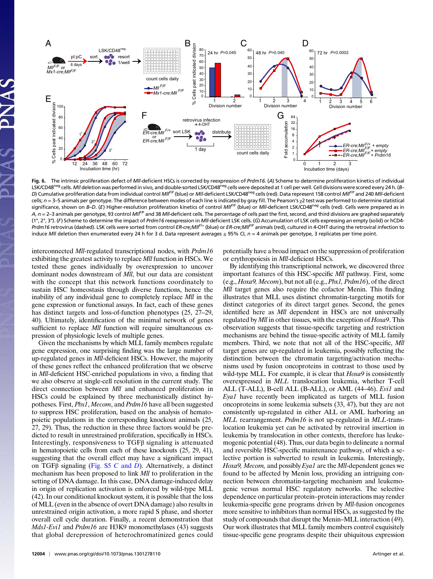

Fig. 6. The intrinsic proliferation defect of MII-deficient HSCs is corrected by reexpression of Prdm16. (A) Scheme to determine proliferation kinetics of individual LSK/CD48<sup>neg</sup> cells. Mll deletion was performed in vivo, and double-sorted LSK/CD48<sup>neg</sup> cells were deposited at 1 cell per well. Cell divisions were scored every 24 h. (B– D) Cumulative proliferation data from individual control MII<sup>F/F</sup> (blue) or MII-deficient LSK/CD48<sup>neg</sup> cells (red). Data represent 158 control MII<sup>F/F</sup> and 240 MII-deficient cells;  $n = 3$ –5 animals per genotype. The difference between modes of each line is indicated by gray fill. The Pearson's  $\chi$ 2 test was performed to determine statistical significance, shown on B–D. (E) Higher-resolution proliferation kinetics of control MII<sup>F/F</sup> (blue) or MII-deficient LSK/CD48<sup>neg</sup> cells (red). Cells were prepared as in A,  $n = 2$ –3 animals per genotype, 93 control MI/F<sup>/F</sup> and 38 MII-deficient cells. The percentage of cells past the first, second, and third divisions are graphed separately (1°, 2°, 3°). (F) Scheme to determine the impact of Prdm16 reexpression in MII-deficient LSK cells. (G) Accumulation of LSK cells expressing an empty (solid) or hCD4-Prdm16 retrovirus (dashed). LSK cells were sorted from control ER-cre;MII<sup>F/+</sup> (blue) or ER-cre;MII<sup>F/F</sup> animals (red), cultured in 4-OHT during the retroviral infection to induce MII deletion then enumerated every 24 h for 3 d. Data represent averages  $\pm$  95% CI,  $n = 4$  animals per genotype, 3 replicates per time point.

interconnected Mll-regulated transcriptional nodes, with Prdm16 exhibiting the greatest activity to replace Mll function in HSCs. We tested these genes individually by overexpression to uncover dominant nodes downstream of Mll, but our data are consistent with the concept that this network functions coordinately to sustain HSC homeostasis through diverse functions, hence the inability of any individual gene to completely replace *Mll* in the gene expression or functional assays. In fact, each of these genes has distinct targets and loss-of-function phenotypes (25, 27–29, 40). Ultimately, identification of the minimal network of genes sufficient to replace *Mll* function will require simultaneous expression of physiologic levels of multiple genes.

Given the mechanisms by which MLL family members regulate gene expression, one surprising finding was the large number of up-regulated genes in Mll-deficient HSCs. However, the majority of these genes reflect the enhanced proliferation that we observe in Mll-deficient HSC-enriched populations in vivo, a finding that we also observe at single-cell resolution in the current study. The direct connection between *Mll* and enhanced proliferation in HSCs could be explained by three mechanistically distinct hypotheses. First, Pbx1, Mecom, and Prdm16 have all been suggested to suppress HSC proliferation, based on the analysis of hematopoietic populations in the corresponding knockout animals (25, 27, 29). Thus, the reduction in these three factors would be predicted to result in unrestrained proliferation, specifically in HSCs. Interestingly, responsiveness to TGFβ signaling is attenuated in hematopoietic cells from each of these knockouts (25, 29, 41), suggesting that the overall effect may have a significant impact on TGF $\beta$  signaling ([Fig. S5](http://www.pnas.org/lookup/suppl/doi:10.1073/pnas.1301278110/-/DCSupplemental/pnas.201301278SI.pdf?targetid=nameddest=SF5) C and D). Alternatively, a distinct mechanism has been proposed to link *Mll* to proliferation in the setting of DNA damage. In this case, DNA damage-induced delay in origin of replication activation is enforced by wild-type MLL (42). In our conditional knockout system, it is possible that the loss of MLL (even in the absence of overt DNA damage) also results in unrestrained origin activation, a more rapid S phase, and shorter overall cell cycle duration. Finally, a recent demonstration that Mds1-Evi1 and Prdm16 are H3K9 monomethylases (43) suggests that global derepression of heterochromatinized genes could potentially have a broad impact on the suppression of proliferation or erythropoiesis in Mll-deficient HSCs.

By identifying this transcriptional network, we discovered three important features of this HSC-specific Mll pathway. First, some (e.g., Hoxa9, Mecom), but not all (e.g., Pbx1, Prdm16), of the direct Mll target genes also require the cofactor Menin. This finding illustrates that MLL uses distinct chromatin-targeting motifs for distinct categories of its direct target genes. Second, the genes identified here as *Mll* dependent in HSCs are not universally regulated by Mll in other tissues, with the exception of Hoxa9. This observation suggests that tissue-specific targeting and restriction mechanisms are behind the tissue-specific activity of MLL family members. Third, we note that not all of the HSC-specific, *Mll* target genes are up-regulated in leukemia, possibly reflecting the distinction between the chromatin targeting/activation mechanisms used by fusion oncoproteins in contrast to those used by wild-type MLL. For example, it is clear that  $Hoxa9$  is consistently overexpressed in MLL translocation leukemia, whether T-cell ALL (T-ALL), B-cell ALL (B-ALL), or AML (44–46). Evil and Eya1 have recently been implicated as targets of MLL fusion oncoproteins in some leukemia subsets (33, 47), but they are not consistently up-regulated in either ALL or AML harboring an MLL rearrangement. *Prdm16* is not up-regulated in MLL-translocation leukemia yet can be activated by retroviral insertion in leukemia by translocation in other contexts, therefore has leukemogenic potential (48). Thus, our data begin to delineate a normal and reversible HSC-specific maintenance pathway, of which a selective portion is subverted to result in leukemia. Interestingly, Hoxa9, Mecom, and possibly Eya1 are the Mll-dependent genes we found to be affected by Menin loss, providing an intriguing connection between chromatin-targeting mechanism and leukemogenic versus normal HSC regulatory networks. The selective dependence on particular protein–protein interactions may render leukemia-specific gene programs driven by Mll-fusion oncogenes more sensitive to inhibitors than normal HSCs, as suggested by the study of compounds that disrupt the Menin–MLL interaction (49). Our work illustrates that MLL family members control exquisitely tissue-specific gene programs despite their ubiquitous expression